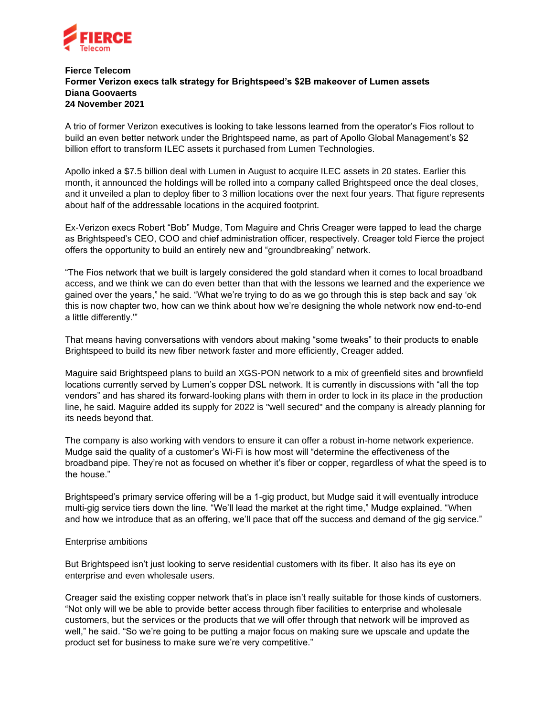

## **Fierce Telecom Former Verizon execs talk strategy for Brightspeed's \$2B makeover of Lumen assets Diana Goovaerts 24 November 2021**

A trio of former Verizon executives is looking to take lessons learned from the operator's Fios rollout to build an even better network under the Brightspeed name, as part of Apollo Global Management's \$2 billion effort to transform ILEC assets it purchased from Lumen Technologies.

Apollo inked a \$7.5 billion deal with Lumen in August to acquire ILEC assets in 20 states. Earlier this month, it announced the holdings will be rolled into a company called Brightspeed once the deal closes, and it unveiled a plan to deploy fiber to 3 million locations over the next four years. That figure represents about half of the addressable locations in the acquired footprint.

Ex-Verizon execs Robert "Bob" Mudge, Tom Maguire and Chris Creager were tapped to lead the charge as Brightspeed's CEO, COO and chief administration officer, respectively. Creager told Fierce the project offers the opportunity to build an entirely new and "groundbreaking" network.

"The Fios network that we built is largely considered the gold standard when it comes to local broadband access, and we think we can do even better than that with the lessons we learned and the experience we gained over the years," he said. "What we're trying to do as we go through this is step back and say 'ok this is now chapter two, how can we think about how we're designing the whole network now end-to-end a little differently.'"

That means having conversations with vendors about making "some tweaks" to their products to enable Brightspeed to build its new fiber network faster and more efficiently, Creager added.

Maguire said Brightspeed plans to build an XGS-PON network to a mix of greenfield sites and brownfield locations currently served by Lumen's copper DSL network. It is currently in discussions with "all the top vendors" and has shared its forward-looking plans with them in order to lock in its place in the production line, he said. Maguire added its supply for 2022 is "well secured" and the company is already planning for its needs beyond that.

The company is also working with vendors to ensure it can offer a robust in-home network experience. Mudge said the quality of a customer's Wi-Fi is how most will "determine the effectiveness of the broadband pipe. They're not as focused on whether it's fiber or copper, regardless of what the speed is to the house."

Brightspeed's primary service offering will be a 1-gig product, but Mudge said it will eventually introduce multi-gig service tiers down the line. "We'll lead the market at the right time," Mudge explained. "When and how we introduce that as an offering, we'll pace that off the success and demand of the gig service."

## Enterprise ambitions

But Brightspeed isn't just looking to serve residential customers with its fiber. It also has its eye on enterprise and even wholesale users.

Creager said the existing copper network that's in place isn't really suitable for those kinds of customers. "Not only will we be able to provide better access through fiber facilities to enterprise and wholesale customers, but the services or the products that we will offer through that network will be improved as well," he said. "So we're going to be putting a major focus on making sure we upscale and update the product set for business to make sure we're very competitive."